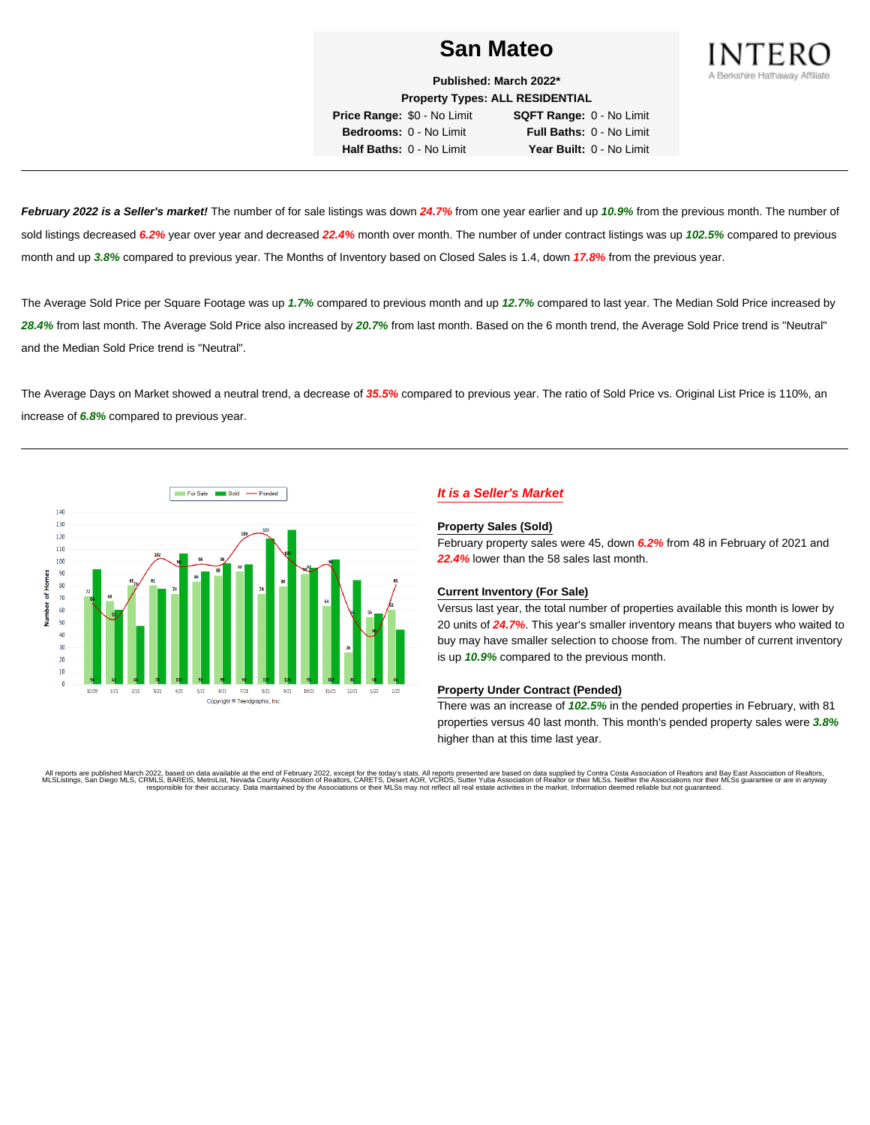

**Published: March 2022\* Property Types: ALL RESIDENTIAL Price Range:** \$0 - No Limit **SQFT Range:** 0 - No Limit

**Bedrooms:** 0 - No Limit **Full Baths:** 0 - No Limit **Half Baths:** 0 - No Limit **Year Built:** 0 - No Limit

**February 2022 is a Seller's market!** The number of for sale listings was down **24.7%** from one year earlier and up **10.9%** from the previous month. The number of sold listings decreased **6.2%** year over year and decreased **22.4%** month over month. The number of under contract listings was up **102.5%** compared to previous month and up **3.8%** compared to previous year. The Months of Inventory based on Closed Sales is 1.4, down **17.8%** from the previous year.

The Average Sold Price per Square Footage was up **1.7%** compared to previous month and up **12.7%** compared to last year. The Median Sold Price increased by **28.4%** from last month. The Average Sold Price also increased by **20.7%** from last month. Based on the 6 month trend, the Average Sold Price trend is "Neutral" and the Median Sold Price trend is "Neutral".

The Average Days on Market showed a neutral trend, a decrease of **35.5%** compared to previous year. The ratio of Sold Price vs. Original List Price is 110%, an increase of **6.8%** compared to previous year.



# **It is a Seller's Market**

#### **Property Sales (Sold)**

February property sales were 45, down **6.2%** from 48 in February of 2021 and **22.4%** lower than the 58 sales last month.

### **Current Inventory (For Sale)**

Versus last year, the total number of properties available this month is lower by 20 units of **24.7%**. This year's smaller inventory means that buyers who waited to buy may have smaller selection to choose from. The number of current inventory is up **10.9%** compared to the previous month.

### **Property Under Contract (Pended)**

There was an increase of **102.5%** in the pended properties in February, with 81 properties versus 40 last month. This month's pended property sales were **3.8%** higher than at this time last year.

All reports are published March 2022, based on data available at the end of February 2022, except for the today's stats. All reports presented are based on data supplied by Contra Costa Association of Realtors and Bay East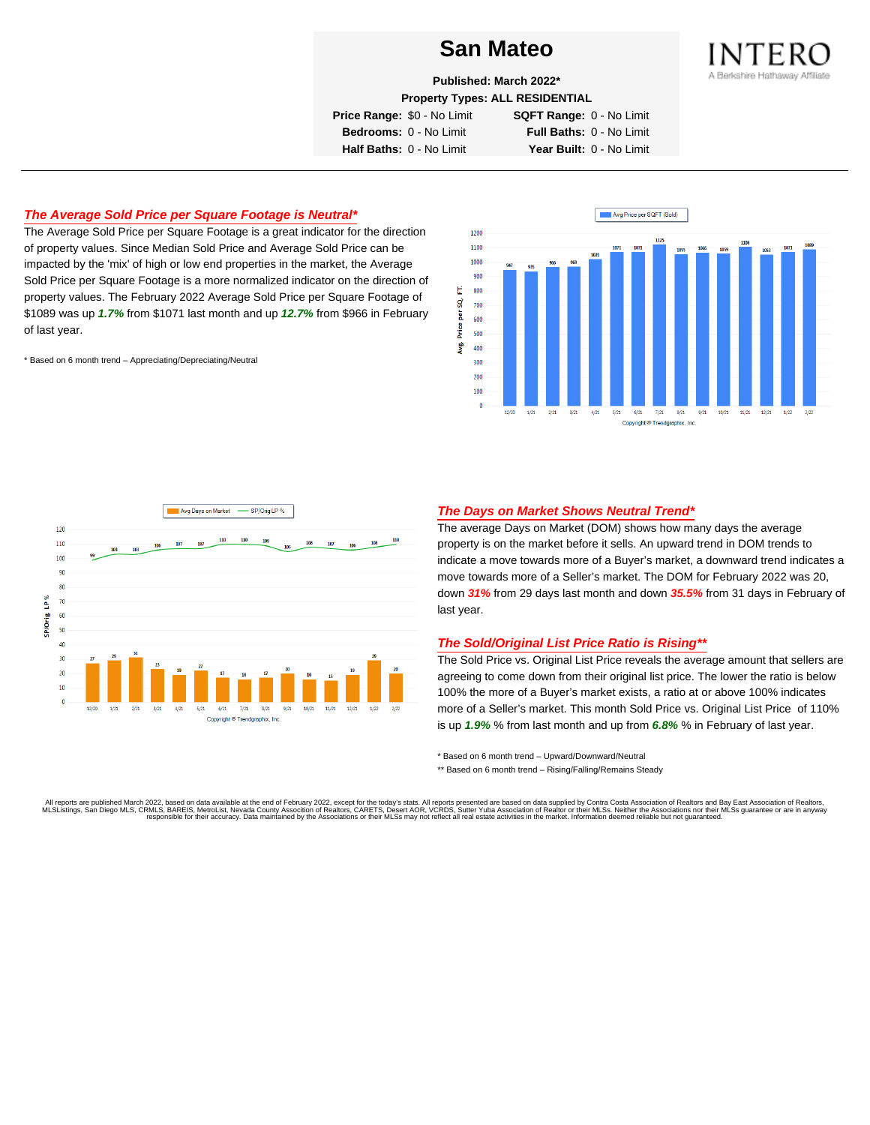

**Published: March 2022\***

**Property Types: ALL RESIDENTIAL**

**Price Range:** \$0 - No Limit **SQFT Range:** 0 - No Limit

**Bedrooms:** 0 - No Limit **Full Baths:** 0 - No Limit **Half Baths:** 0 - No Limit **Year Built:** 0 - No Limit

# **The Average Sold Price per Square Footage is Neutral\***

The Average Sold Price per Square Footage is a great indicator for the direction of property values. Since Median Sold Price and Average Sold Price can be impacted by the 'mix' of high or low end properties in the market, the Average Sold Price per Square Footage is a more normalized indicator on the direction of property values. The February 2022 Average Sold Price per Square Footage of \$1089 was up **1.7%** from \$1071 last month and up **12.7%** from \$966 in February of last year.

\* Based on 6 month trend – Appreciating/Depreciating/Neutral





# **The Days on Market Shows Neutral Trend\***

The average Days on Market (DOM) shows how many days the average property is on the market before it sells. An upward trend in DOM trends to indicate a move towards more of a Buyer's market, a downward trend indicates a move towards more of a Seller's market. The DOM for February 2022 was 20, down **31%** from 29 days last month and down **35.5%** from 31 days in February of last year.

### **The Sold/Original List Price Ratio is Rising\*\***

The Sold Price vs. Original List Price reveals the average amount that sellers are agreeing to come down from their original list price. The lower the ratio is below 100% the more of a Buyer's market exists, a ratio at or above 100% indicates more of a Seller's market. This month Sold Price vs. Original List Price of 110% is up **1.9%** % from last month and up from **6.8%** % in February of last year.

\* Based on 6 month trend – Upward/Downward/Neutral

\*\* Based on 6 month trend - Rising/Falling/Remains Steady

All reports are published March 2022, based on data available at the end of February 2022, except for the today's stats. All reports presented are based on data supplied by Contra Costa Association of Realtors and Bay East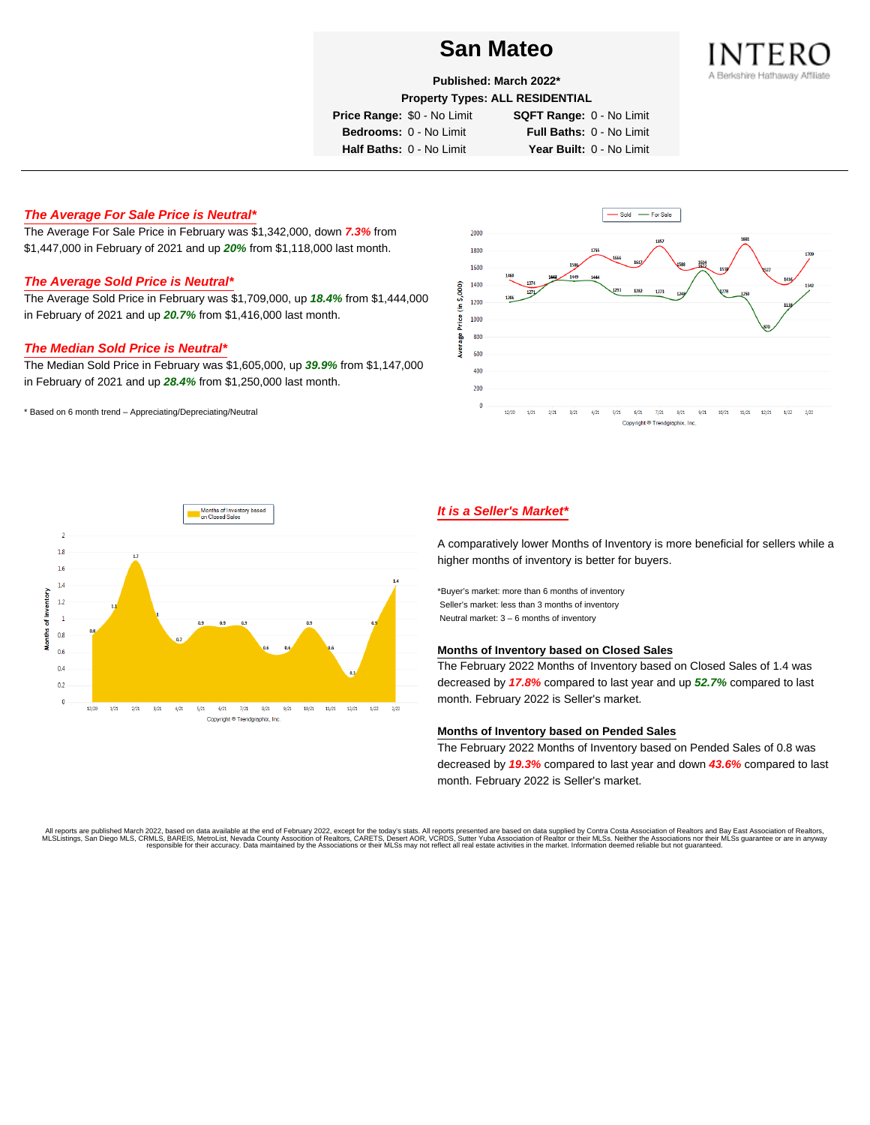

**Published: March 2022\***

**Property Types: ALL RESIDENTIAL**

**Price Range:** \$0 - No Limit **SQFT Range:** 0 - No Limit

**Bedrooms:** 0 - No Limit **Full Baths:** 0 - No Limit **Half Baths:** 0 - No Limit **Year Built:** 0 - No Limit

# **The Average For Sale Price is Neutral\***

The Average For Sale Price in February was \$1,342,000, down **7.3%** from \$1,447,000 in February of 2021 and up **20%** from \$1,118,000 last month.

# **The Average Sold Price is Neutral\***

The Average Sold Price in February was \$1,709,000, up **18.4%** from \$1,444,000 in February of 2021 and up **20.7%** from \$1,416,000 last month.

# **The Median Sold Price is Neutral\***

The Median Sold Price in February was \$1,605,000, up **39.9%** from \$1,147,000 in February of 2021 and up **28.4%** from \$1,250,000 last month.

\* Based on 6 month trend – Appreciating/Depreciating/Neutral





# **It is a Seller's Market\***

A comparatively lower Months of Inventory is more beneficial for sellers while a higher months of inventory is better for buyers.

\*Buyer's market: more than 6 months of inventory Seller's market: less than 3 months of inventory Neutral market: 3 – 6 months of inventory

### **Months of Inventory based on Closed Sales**

The February 2022 Months of Inventory based on Closed Sales of 1.4 was decreased by **17.8%** compared to last year and up **52.7%** compared to last month. February 2022 is Seller's market.

#### **Months of Inventory based on Pended Sales**

The February 2022 Months of Inventory based on Pended Sales of 0.8 was decreased by **19.3%** compared to last year and down **43.6%** compared to last month. February 2022 is Seller's market.

. All reports are published March 2022, based on data available at the end of February 2022, except for the today's stats. All reports presented are based on data supplied by Contra Costa Association of Realtors, San Bread responsible for their accuracy. Data maintained by the Associations or their MLSs may not reflect all real estate activities in the market. Information deemed reliable but not guaranteed.